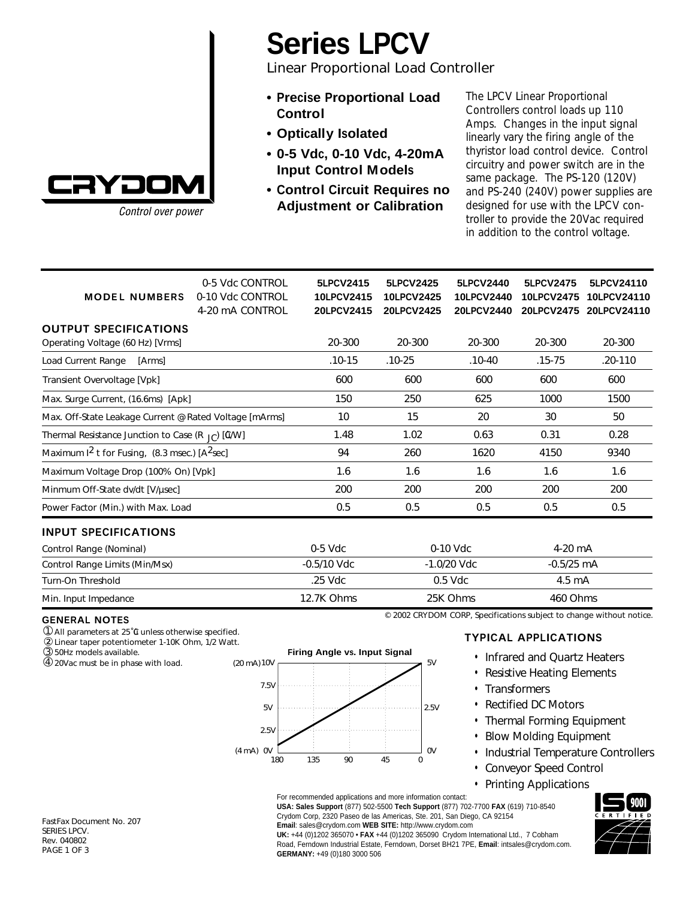

Control over power

# **Series LPCV**

Linear Proportional Load Controller

- **• Precise Proportional Load Control**
- **• Optically Isolated**
- **• 0-5 Vdc, 0-10 Vdc, 4-20mA Input Control Models**
- **• Control Circuit Requires no Adjustment or Calibration**

The LPCV Linear Proportional Controllers control loads up 110 Amps. Changes in the input signal linearly vary the firing angle of the thyristor load control device. Control circuitry and power switch are in the same package. The PS-120 (120V) and PS-240 (240V) power supplies are designed for use with the LPCV controller to provide the 20Vac required in addition to the control voltage.

| <b>MODEL NUMBERS</b>                                             | 0-5 Vdc CONTROL<br>0-10 Vdc CONTROL<br>4-20 mA CONTROL | 5LPCV2415<br>10LPCV2415<br>20LPCV2415 | 5LPCV2425<br>10LPCV2425<br><b>20LPCV2425</b> | 5LPCV2440<br><b>10LPCV2440</b><br><b>20LPCV2440</b> | 5LPCV2475<br><b>10LPCV2475</b><br><b>20LPCV2475</b> | 5LPCV24110<br>10LPCV24110<br>20LPCV24110 |
|------------------------------------------------------------------|--------------------------------------------------------|---------------------------------------|----------------------------------------------|-----------------------------------------------------|-----------------------------------------------------|------------------------------------------|
|                                                                  |                                                        |                                       |                                              |                                                     |                                                     |                                          |
| <b>OUTPUT SPECIFICATIONS</b><br>Operating Voltage (60 Hz) [Vrms] |                                                        | 20-300                                | 20-300                                       | 20-300                                              | 20-300                                              | 20-300                                   |
| Load Current Range<br>[Arms]                                     |                                                        | $.10 - 15$                            | $.10 - 25$                                   | $.10 - 40$                                          | $.15 - 75$                                          | .20-110                                  |
| Transient Overvoltage [Vpk]                                      |                                                        | 600                                   | 600                                          | 600                                                 | 600                                                 | 600                                      |
| Max. Surge Current, (16.6ms) [Apk]                               |                                                        | 150                                   | 250                                          | 625                                                 | 1000                                                | 1500                                     |
| Max. Off-State Leakage Current @ Rated Voltage [mArms]           |                                                        | 10                                    | 15                                           | 20                                                  | 30                                                  | 50                                       |
| Thermal Resistance Junction to Case (R $_{\text{IC}}$ ) [G/W]    |                                                        | 1.48                                  | 1.02                                         | 0.63                                                | 0.31                                                | 0.28                                     |
| Maximum $1^2$ t for Fusing, (8.3 msec.) [A <sup>2</sup> sec]     |                                                        | 94                                    | 260                                          | 1620                                                | 4150                                                | 9340                                     |
| Maximum Voltage Drop (100% On) [Vpk]                             |                                                        | 1.6                                   | 1.6                                          | 1.6                                                 | 1.6                                                 | 1.6                                      |
| Minmum Off-State dv/dt [V/µsec]                                  |                                                        | 200                                   | 200                                          | 200                                                 | 200                                                 | 200                                      |
| Power Factor (Min.) with Max. Load                               |                                                        | 0.5                                   | 0.5                                          | 0.5                                                 | 0.5                                                 | 0.5                                      |
| <b>INPUT SPECIFICATIONS</b>                                      |                                                        |                                       |                                              |                                                     |                                                     |                                          |
| Control Range (Nominal)                                          |                                                        | $0-5$ Vdc                             | $0-10$ Vdc                                   |                                                     | $4-20$ mA                                           |                                          |
| Control Range Limits (Min/Msx)                                   |                                                        | $-0.5/10$ Vdc                         | $-1.0/20$ Vdc                                |                                                     | $-0.5/25$ mA                                        |                                          |
| Turn-On Threshold                                                |                                                        | .25 Vdc                               | $0.5$ Vdc                                    |                                                     | 4.5 mA                                              |                                          |
| Min. Input Impedance                                             |                                                        | 12.7K Ohms                            |                                              | 25K Ohms                                            | 460 Ohms                                            |                                          |

#### **GENERAL NOTES**

① All parameters at 25°0 unless otherwise specified.

Linear taper potentiometer 1-10K Ohm, 1/2 Watt. ②

50Hz models available. ➂

20Vac must be in phase with load. ➃



### **TYPICAL APPLICATIONS**

© 2002 CRYDOM CORP, Specifications subject to change without notice.

- Infrared and Quartz Heaters
- Resistive Heating Elements
- Transformers
- Rectified DC Motors
- Thermal Forming Equipment
- Blow Molding Equipment
- Industrial Temperature Controllers
- Conveyor Speed Control
- Printing Applications

For recommended applications and more information contact: **USA: Sales Support** (877) 502-5500 **Tech Support** (877) 702-7700 **FAX** (619) 710-8540 Crydom Corp, 2320 Paseo de las Americas, Ste. 201, San Diego, CA 92154 **Email**: sales@crydom.com **WEB SITE:** http://www.crydom.com

**UK:** +44 (0)1202 365070 • **FAX** +44 (0)1202 365090 Crydom International Ltd., 7 Cobham Road, Ferndown Industrial Estate, Ferndown, Dorset BH21 7PE, **Email**: intsales@crydom.com. **GERMANY:** +49 (0)180 3000 506



FastFax Document No. 207 SERIES LPCV. Rev. 040802 PAGE 1 OF 3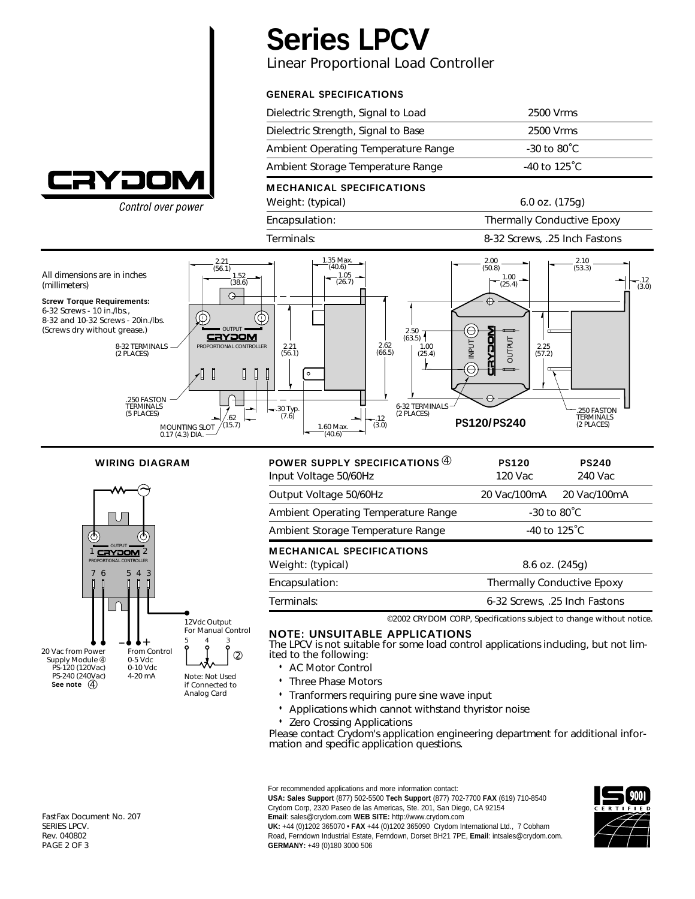

Control over power

## **Series LPCV**

Linear Proportional Load Controller

## **GENERAL SPECIFICATIONS**

| Dielectric Strength, Signal to Load | 2500 Vrms               |
|-------------------------------------|-------------------------|
| Dielectric Strength, Signal to Base | 2500 Vrms               |
| Ambient Operating Temperature Range | $-30$ to $80^{\circ}$ C |
| Ambient Storage Temperature Range   | $-40$ to 125 °C.        |
|                                     |                         |

## **M ECHANICAL SPECIFICATIONS**

Weight: (typical) 6.0 oz. (175g)

Encapsulation: Thermally Conductive Epoxy

Terminals: 8-32 Screws, .25 Inch Fastons



#### **WIRING DIAGRAM**



| POWER SUPPLY SPECIFICATIONS 4<br>Input Voltage 50/60Hz | <b>PS120</b><br>120 Vac           | <b>PS240</b><br>240 Vac |  |
|--------------------------------------------------------|-----------------------------------|-------------------------|--|
| Output Voltage 50/60Hz                                 | 20 Vac/100mA                      | 20 Vac/100mA            |  |
| Ambient Operating Temperature Range                    | $-30$ to $80^{\circ}$ C           |                         |  |
| Ambient Storage Temperature Range                      | $-40$ to 125 °C                   |                         |  |
| <b>MECHANICAL SPECIFICATIONS</b>                       |                                   |                         |  |
| Weight: (typical)                                      | $8.6$ oz. $(245q)$                |                         |  |
| Encapsulation:                                         | <b>Thermally Conductive Epoxy</b> |                         |  |
| Terminals:                                             | 6-32 Screws, .25 Inch Fastons     |                         |  |

©2002 CRYDOM CORP, Specifications subject to change without notice.

#### **NOTE: UNSUITABLE APPLICATIONS**

The LPCV is not suitable for some load control applications including, but not limited to the following:

- AC Motor Control
- Three Phase Motors
- Tranformers requiring pure sine wave input
- Applications which cannot withstand thyristor noise
- Zero Crossing Applications

Please contact Crydom's application engineering department for additional information and specific application questions.

For recommended applications and more information contact:

**USA: Sales Support** (877) 502-5500 **Tech Support** (877) 702-7700 **FAX** (619) 710-8540 Crydom Corp, 2320 Paseo de las Americas, Ste. 201, San Diego, CA 92154

**Email**: sales@crydom.com **WEB SITE:** http://www.crydom.com

**UK:** +44 (0)1202 365070 • **FAX** +44 (0)1202 365090 Crydom International Ltd., 7 Cobham Road, Ferndown Industrial Estate, Ferndown, Dorset BH21 7PE, **Email**: intsales@crydom.com. **GERMANY:** +49 (0)180 3000 506



FastFax Document No. 207 SERIES LPCV. Rev. 040802 PAGE 2 OF 3